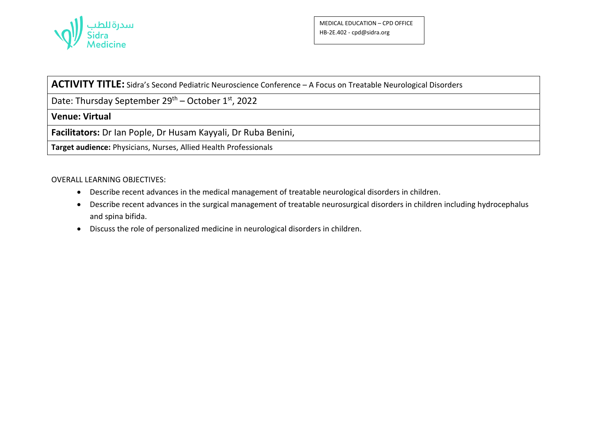

## **ACTIVITY TITLE:** Sidra's Second Pediatric Neuroscience Conference – A Focus on Treatable Neurological Disorders

Date: Thursday September  $29^{th}$  – October  $1^{st}$ , 2022

**Venue: Virtual**

**Facilitators:** Dr Ian Pople, Dr Husam Kayyali, Dr Ruba Benini,

**Target audience:** Physicians, Nurses, Allied Health Professionals

## OVERALL LEARNING OBJECTIVES:

- Describe recent advances in the medical management of treatable neurological disorders in children.
- Describe recent advances in the surgical management of treatable neurosurgical disorders in children including hydrocephalus and spina bifida.
- Discuss the role of personalized medicine in neurological disorders in children.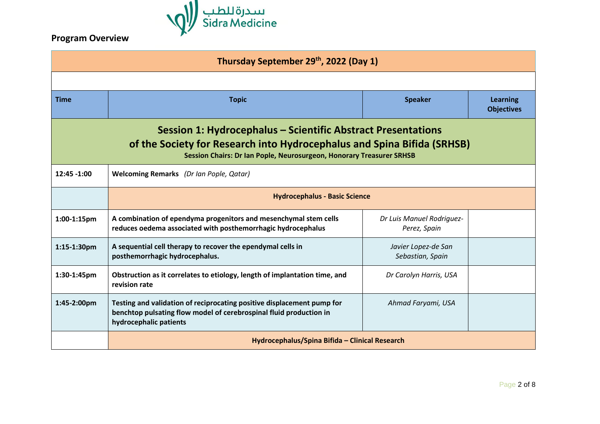

## **Program Overview**

| Thursday September 29th, 2022 (Day 1)                                                                                                                                                                           |                                                                                                                                                                        |                                           |                                      |  |
|-----------------------------------------------------------------------------------------------------------------------------------------------------------------------------------------------------------------|------------------------------------------------------------------------------------------------------------------------------------------------------------------------|-------------------------------------------|--------------------------------------|--|
|                                                                                                                                                                                                                 |                                                                                                                                                                        |                                           |                                      |  |
| <b>Time</b>                                                                                                                                                                                                     | <b>Topic</b>                                                                                                                                                           | <b>Speaker</b>                            | <b>Learning</b><br><b>Objectives</b> |  |
| Session 1: Hydrocephalus – Scientific Abstract Presentations<br>of the Society for Research into Hydrocephalus and Spina Bifida (SRHSB)<br>Session Chairs: Dr Ian Pople, Neurosurgeon, Honorary Treasurer SRHSB |                                                                                                                                                                        |                                           |                                      |  |
| $12:45 - 1:00$                                                                                                                                                                                                  | <b>Welcoming Remarks</b> (Dr Ian Pople, Qatar)                                                                                                                         |                                           |                                      |  |
|                                                                                                                                                                                                                 | <b>Hydrocephalus - Basic Science</b>                                                                                                                                   |                                           |                                      |  |
| 1:00-1:15pm                                                                                                                                                                                                     | A combination of ependyma progenitors and mesenchymal stem cells<br>reduces oedema associated with posthemorrhagic hydrocephalus                                       | Dr Luis Manuel Rodriguez-<br>Perez, Spain |                                      |  |
| 1:15-1:30pm                                                                                                                                                                                                     | A sequential cell therapy to recover the ependymal cells in<br>posthemorrhagic hydrocephalus.                                                                          | Javier Lopez-de San<br>Sebastian, Spain   |                                      |  |
| 1:30-1:45pm                                                                                                                                                                                                     | Obstruction as it correlates to etiology, length of implantation time, and<br>revision rate                                                                            | Dr Carolyn Harris, USA                    |                                      |  |
| 1:45-2:00pm                                                                                                                                                                                                     | Testing and validation of reciprocating positive displacement pump for<br>benchtop pulsating flow model of cerebrospinal fluid production in<br>hydrocephalic patients | Ahmad Faryami, USA                        |                                      |  |
|                                                                                                                                                                                                                 | Hydrocephalus/Spina Bifida - Clinical Research                                                                                                                         |                                           |                                      |  |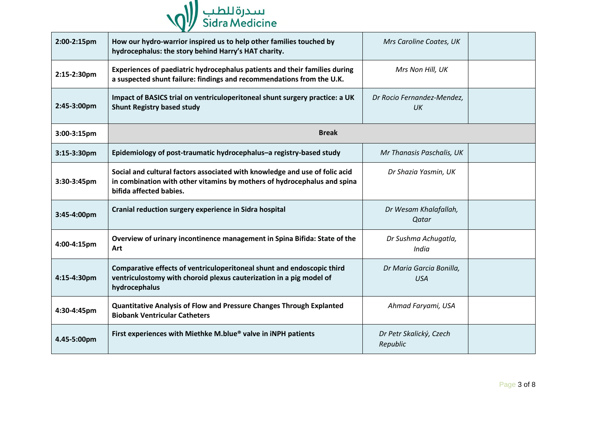

| 2:00-2:15pm | How our hydro-warrior inspired us to help other families touched by<br>hydrocephalus: the story behind Harry's HAT charity.                                                        | Mrs Caroline Coates, UK                |  |
|-------------|------------------------------------------------------------------------------------------------------------------------------------------------------------------------------------|----------------------------------------|--|
| 2:15-2:30pm | Experiences of paediatric hydrocephalus patients and their families during<br>a suspected shunt failure: findings and recommendations from the U.K.                                | Mrs Non Hill, UK                       |  |
| 2:45-3:00pm | Impact of BASICS trial on ventriculoperitoneal shunt surgery practice: a UK<br><b>Shunt Registry based study</b>                                                                   | Dr Rocio Fernandez-Mendez,<br>UK       |  |
| 3:00-3:15pm | <b>Break</b>                                                                                                                                                                       |                                        |  |
| 3:15-3:30pm | Epidemiology of post-traumatic hydrocephalus-a registry-based study                                                                                                                | Mr Thanasis Paschalis, UK              |  |
| 3:30-3:45pm | Social and cultural factors associated with knowledge and use of folic acid<br>in combination with other vitamins by mothers of hydrocephalus and spina<br>bifida affected babies. | Dr Shazia Yasmin, UK                   |  |
| 3:45-4:00pm | Cranial reduction surgery experience in Sidra hospital                                                                                                                             | Dr Wesam Khalafallah,<br>Qatar         |  |
| 4:00-4:15pm | Overview of urinary incontinence management in Spina Bifida: State of the<br>Art                                                                                                   | Dr Sushma Achugatla,<br>India          |  |
| 4:15-4:30pm | Comparative effects of ventriculoperitoneal shunt and endoscopic third<br>ventriculostomy with choroid plexus cauterization in a pig model of<br>hydrocephalus                     | Dr Maria Garcia Bonilla,<br><b>USA</b> |  |
| 4:30-4:45pm | <b>Quantitative Analysis of Flow and Pressure Changes Through Explanted</b><br><b>Biobank Ventricular Catheters</b>                                                                | Ahmad Faryami, USA                     |  |
| 4.45-5:00pm | First experiences with Miethke M.blue® valve in iNPH patients                                                                                                                      | Dr Petr Skalický, Czech<br>Republic    |  |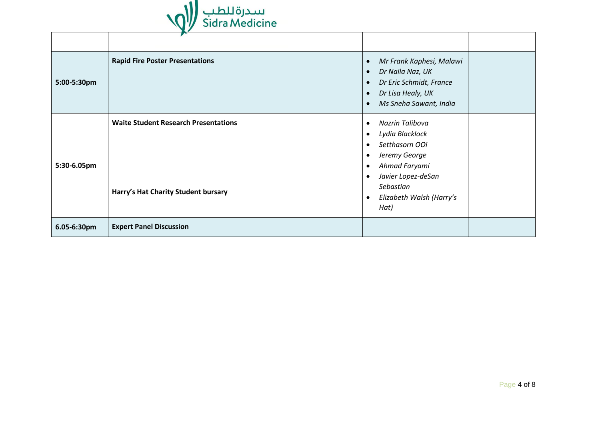

|             | $\mathbf{r}$                                |                                                                                                                                                                               |
|-------------|---------------------------------------------|-------------------------------------------------------------------------------------------------------------------------------------------------------------------------------|
| 5:00-5:30pm | <b>Rapid Fire Poster Presentations</b>      | Mr Frank Kaphesi, Malawi<br>$\bullet$<br>Dr Naila Naz, UK<br>$\bullet$<br>Dr Eric Schmidt, France<br>Dr Lisa Healy, UK<br>$\bullet$<br>Ms Sneha Sawant, India<br>$\bullet$    |
| 5:30-6.05pm | <b>Waite Student Research Presentations</b> | Nazrin Talibova<br>$\bullet$<br>Lydia Blacklock<br>$\bullet$<br>Setthasorn OOi<br>Jeremy George<br>$\bullet$<br>Ahmad Faryami<br>$\bullet$<br>Javier Lopez-deSan<br>$\bullet$ |
|             | Harry's Hat Charity Student bursary         | Sebastian<br>Elizabeth Walsh (Harry's<br>$\bullet$<br>Hat)                                                                                                                    |
| 6.05-6:30pm | <b>Expert Panel Discussion</b>              |                                                                                                                                                                               |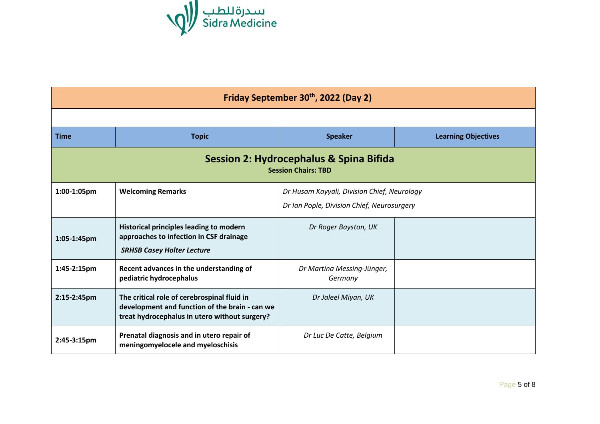

| Friday September 30 <sup>th</sup> , 2022 (Day 2)                      |                                                                                                                                                |                                                                                           |                            |
|-----------------------------------------------------------------------|------------------------------------------------------------------------------------------------------------------------------------------------|-------------------------------------------------------------------------------------------|----------------------------|
|                                                                       |                                                                                                                                                |                                                                                           |                            |
| <b>Time</b>                                                           | <b>Topic</b>                                                                                                                                   | <b>Speaker</b>                                                                            | <b>Learning Objectives</b> |
| Session 2: Hydrocephalus & Spina Bifida<br><b>Session Chairs: TBD</b> |                                                                                                                                                |                                                                                           |                            |
| 1:00-1:05pm                                                           | <b>Welcoming Remarks</b>                                                                                                                       | Dr Husam Kayyali, Division Chief, Neurology<br>Dr Ian Pople, Division Chief, Neurosurgery |                            |
| 1:05-1:45pm                                                           | Historical principles leading to modern<br>approaches to infection in CSF drainage<br><b>SRHSB Casey Holter Lecture</b>                        | Dr Roger Bayston, UK                                                                      |                            |
| 1:45-2:15pm                                                           | Recent advances in the understanding of<br>pediatric hydrocephalus                                                                             | Dr Martina Messing-Jünger,<br>Germany                                                     |                            |
| 2:15-2:45pm                                                           | The critical role of cerebrospinal fluid in<br>development and function of the brain - can we<br>treat hydrocephalus in utero without surgery? | Dr Jaleel Miyan, UK                                                                       |                            |
| $2:45-3:15 \text{pm}$                                                 | Prenatal diagnosis and in utero repair of<br>meningomyelocele and myeloschisis                                                                 | Dr Luc De Catte, Belgium                                                                  |                            |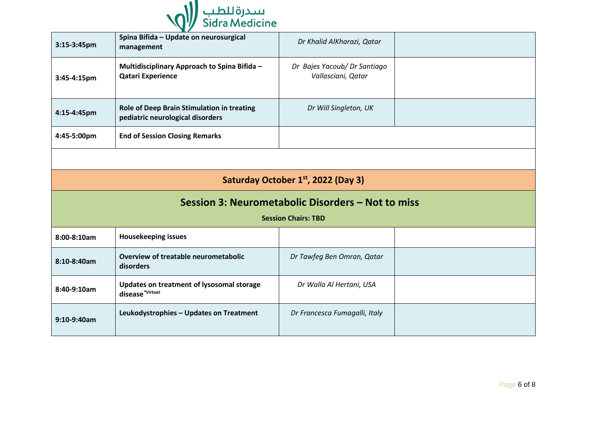

| 3:15-3:45pm                                     | Spina Bifida - Update on neurosurgical<br>management                           | Dr Khalid AlKharazi, Qatar                         |  |  |  |
|-------------------------------------------------|--------------------------------------------------------------------------------|----------------------------------------------------|--|--|--|
| 3:45-4:15pm                                     | Multidisciplinary Approach to Spina Bifida -<br><b>Qatari Experience</b>       | Dr Bajes Yacoub/ Dr Santiago<br>Vallasciani, Qatar |  |  |  |
| 4:15-4:45pm                                     | Role of Deep Brain Stimulation in treating<br>pediatric neurological disorders | Dr Will Singleton, UK                              |  |  |  |
| 4:45-5:00pm                                     | <b>End of Session Closing Remarks</b>                                          |                                                    |  |  |  |
|                                                 |                                                                                |                                                    |  |  |  |
| Saturday October 1 <sup>st</sup> , 2022 (Day 3) |                                                                                |                                                    |  |  |  |
|                                                 |                                                                                |                                                    |  |  |  |
|                                                 |                                                                                | Session 3: Neurometabolic Disorders - Not to miss  |  |  |  |
|                                                 |                                                                                | <b>Session Chairs: TBD</b>                         |  |  |  |
| 8:00-8:10am                                     | <b>Housekeeping issues</b>                                                     |                                                    |  |  |  |
| 8:10-8:40am                                     | Overview of treatable neurometabolic<br>disorders                              | Dr Tawfeg Ben Omran, Qatar                         |  |  |  |
| 8:40-9:10am                                     | Updates on treatment of lysosomal storage<br>disease*Virtual                   | Dr Walla Al Hertani, USA                           |  |  |  |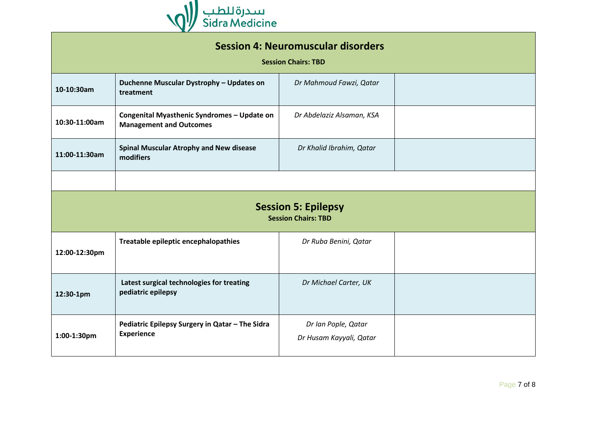

| <b>Session 4: Neuromuscular disorders</b><br><b>Session Chairs: TBD</b> |                                                                               |                                                |  |  |
|-------------------------------------------------------------------------|-------------------------------------------------------------------------------|------------------------------------------------|--|--|
| 10-10:30am                                                              | Duchenne Muscular Dystrophy - Updates on<br>treatment                         | Dr Mahmoud Fawzi, Qatar                        |  |  |
| 10:30-11:00am                                                           | Congenital Myasthenic Syndromes - Update on<br><b>Management and Outcomes</b> | Dr Abdelaziz Alsaman, KSA                      |  |  |
| 11:00-11:30am                                                           | <b>Spinal Muscular Atrophy and New disease</b><br>modifiers                   | Dr Khalid Ibrahim, Qatar                       |  |  |
|                                                                         |                                                                               |                                                |  |  |
| <b>Session 5: Epilepsy</b><br><b>Session Chairs: TBD</b>                |                                                                               |                                                |  |  |
| 12:00-12:30pm                                                           | Treatable epileptic encephalopathies                                          | Dr Ruba Benini, Qatar                          |  |  |
| 12:30-1pm                                                               | Latest surgical technologies for treating<br>pediatric epilepsy               | Dr Michael Carter, UK                          |  |  |
| 1:00-1:30pm                                                             | Pediatric Epilepsy Surgery in Qatar - The Sidra<br><b>Experience</b>          | Dr Ian Pople, Qatar<br>Dr Husam Kayyali, Qatar |  |  |